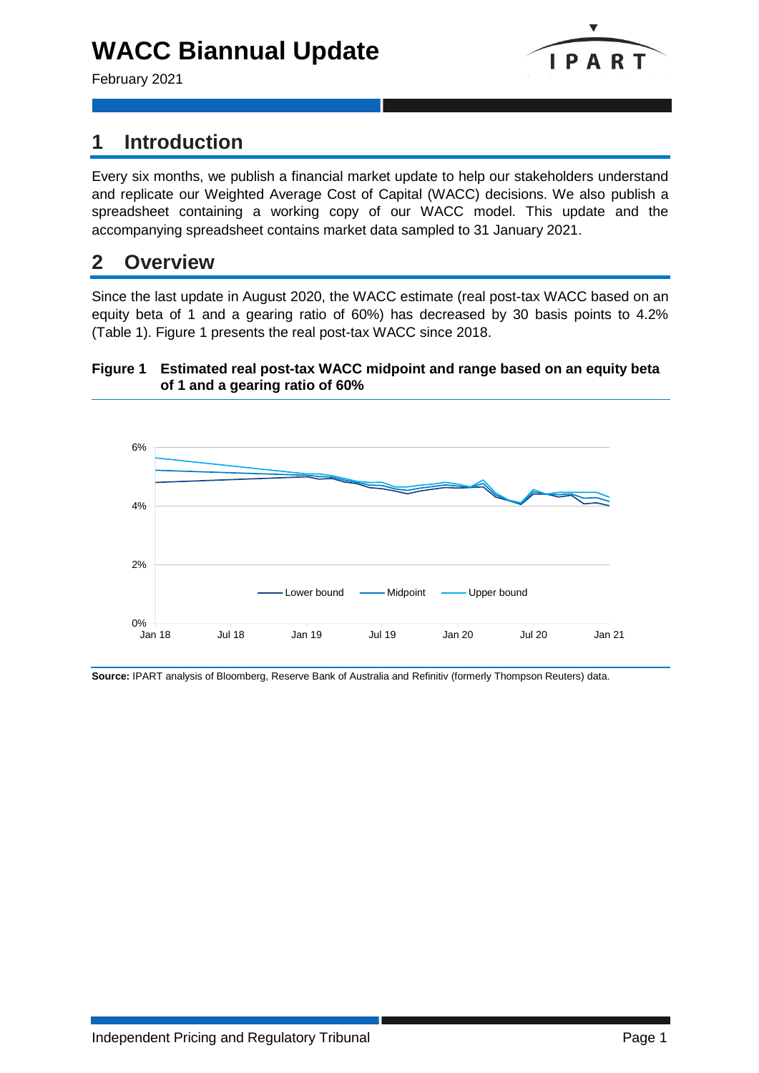# **WACC Biannual Update**

February 2021



# **1 Introduction**

Every six months, we publish a financial market update to help our stakeholders understand and replicate our Weighted Average Cost of Capital (WACC) decisions. We also publish a spreadsheet containing a working copy of our WACC model. This update and the accompanying spreadsheet contains market data sampled to 31 January 2021.

### **2 Overview**

Since the last update in August 2020, the WACC estimate (real post-tax WACC based on an equity beta of 1 and a gearing ratio of 60%) has decreased by 30 basis points to 4.2% (Table 1). Figure 1 presents the real post-tax WACC since 2018.

### **Figure 1 Estimated real post-tax WACC midpoint and range based on an equity beta of 1 and a gearing ratio of 60%**



**Source:** IPART analysis of Bloomberg, Reserve Bank of Australia and Refinitiv (formerly Thompson Reuters) data.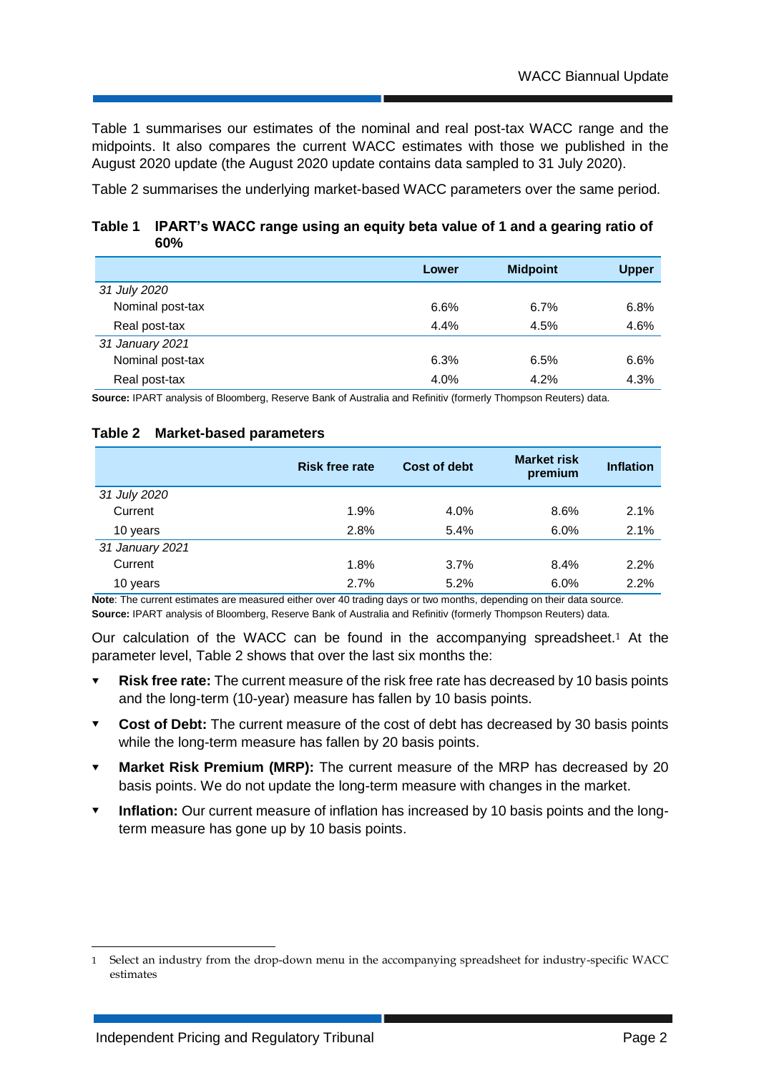Table 1 summarises our estimates of the nominal and real post-tax WACC range and the midpoints. It also compares the current WACC estimates with those we published in the August 2020 update (the August 2020 update contains data sampled to 31 July 2020).

Table 2 summarises the underlying market-based WACC parameters over the same period.

**Table 1 IPART's WACC range using an equity beta value of 1 and a gearing ratio of 60%**

|                  | Lower | <b>Midpoint</b> | <b>Upper</b> |
|------------------|-------|-----------------|--------------|
| 31 July 2020     |       |                 |              |
| Nominal post-tax | 6.6%  | 6.7%            | 6.8%         |
| Real post-tax    | 4.4%  | 4.5%            | 4.6%         |
| 31 January 2021  |       |                 |              |
| Nominal post-tax | 6.3%  | 6.5%            | 6.6%         |
| Real post-tax    | 4.0%  | 4.2%            | 4.3%         |

**Source:** IPART analysis of Bloomberg, Reserve Bank of Australia and Refinitiv (formerly Thompson Reuters) data.

#### **Table 2 Market-based parameters**

|                 | <b>Risk free rate</b> | Cost of debt | <b>Market risk</b><br>premium | <b>Inflation</b> |
|-----------------|-----------------------|--------------|-------------------------------|------------------|
| 31 July 2020    |                       |              |                               |                  |
| Current         | 1.9%                  | 4.0%         | 8.6%                          | 2.1%             |
| 10 years        | 2.8%                  | 5.4%         | 6.0%                          | 2.1%             |
| 31 January 2021 |                       |              |                               |                  |
| Current         | 1.8%                  | 3.7%         | 8.4%                          | 2.2%             |
| 10 years        | 2.7%                  | 5.2%         | 6.0%                          | 2.2%             |

**Note**: The current estimates are measured either over 40 trading days or two months, depending on their data source. **Source:** IPART analysis of Bloomberg, Reserve Bank of Australia and Refinitiv (formerly Thompson Reuters) data.

Our calculation of the WACC can be found in the accompanying spreadsheet.<sup>1</sup> At the parameter level, Table 2 shows that over the last six months the:

- **Risk free rate:** The current measure of the risk free rate has decreased by 10 basis points and the long-term (10-year) measure has fallen by 10 basis points.
- **Cost of Debt:** The current measure of the cost of debt has decreased by 30 basis points while the long-term measure has fallen by 20 basis points.
- **Market Risk Premium (MRP):** The current measure of the MRP has decreased by 20 basis points. We do not update the long-term measure with changes in the market.
- **Inflation:** Our current measure of inflation has increased by 10 basis points and the longterm measure has gone up by 10 basis points.

-

<sup>1</sup> Select an industry from the drop-down menu in the accompanying spreadsheet for industry-specific WACC estimates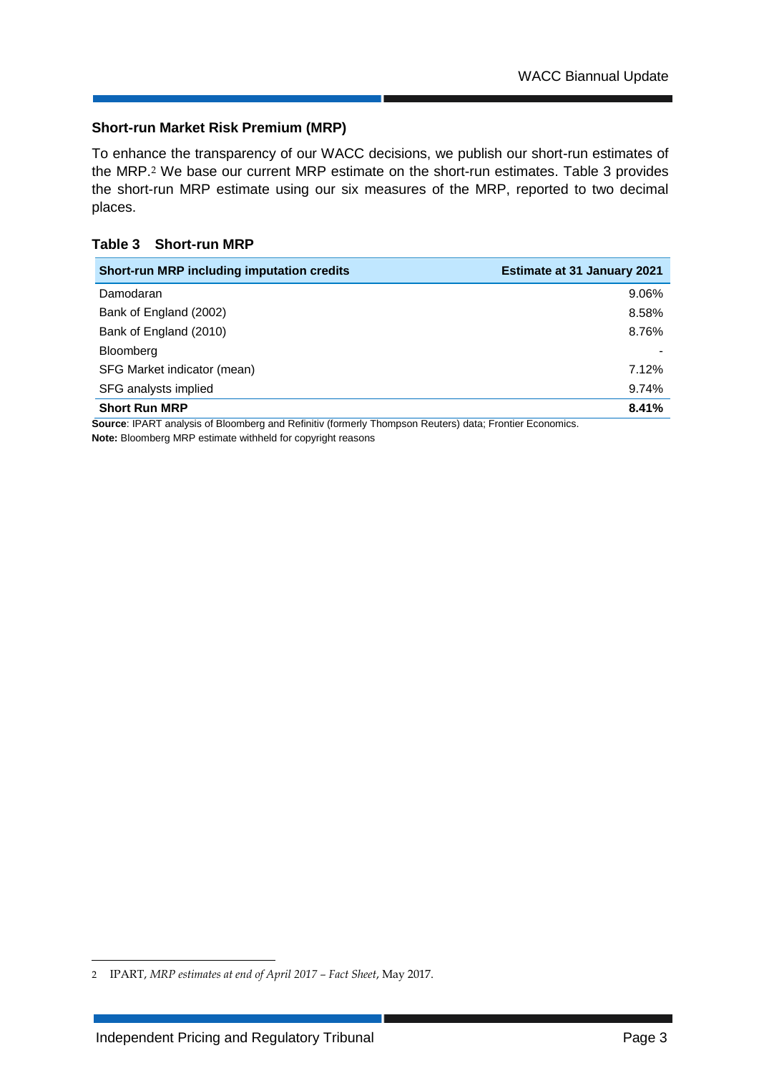### **Short-run Market Risk Premium (MRP)**

To enhance the transparency of our WACC decisions, we publish our short-run estimates of the MRP.<sup>2</sup> We base our current MRP estimate on the short-run estimates. Table 3 provides the short-run MRP estimate using our six measures of the MRP, reported to two decimal places.

### **Table 3 Short-run MRP**

| <b>Short-run MRP including imputation credits</b> | <b>Estimate at 31 January 2021</b> |
|---------------------------------------------------|------------------------------------|
| Damodaran                                         | 9.06%                              |
| Bank of England (2002)                            | 8.58%                              |
| Bank of England (2010)                            | 8.76%                              |
| Bloomberg                                         |                                    |
| SFG Market indicator (mean)                       | 7.12%                              |
| SFG analysts implied                              | 9.74%                              |
| <b>Short Run MRP</b>                              | 8.41%                              |

**Source**: IPART analysis of Bloomberg and Refinitiv (formerly Thompson Reuters) data; Frontier Economics. **Note:** Bloomberg MRP estimate withheld for copyright reasons

-

<sup>2</sup> IPART, *MRP estimates at end of April 2017 – Fact Sheet*, May 2017.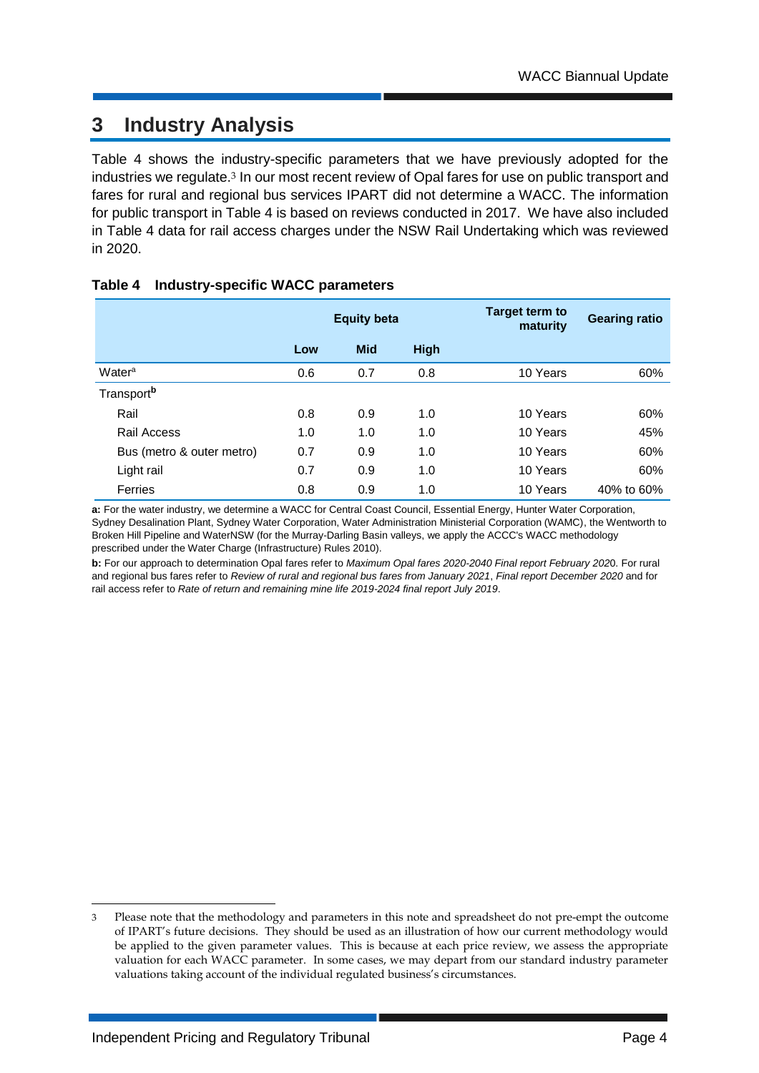# **3 Industry Analysis**

Table 4 shows the industry-specific parameters that we have previously adopted for the industries we regulate.<sup>3</sup> In our most recent review of Opal fares for use on public transport and fares for rural and regional bus services IPART did not determine a WACC. The information for public transport in Table 4 is based on reviews conducted in 2017. We have also included in Table 4 data for rail access charges under the NSW Rail Undertaking which was reviewed in 2020.

|                           | <b>Equity beta</b> |            | Target term to<br>maturity | <b>Gearing ratio</b> |            |
|---------------------------|--------------------|------------|----------------------------|----------------------|------------|
|                           | Low                | <b>Mid</b> | <b>High</b>                |                      |            |
| Water <sup>a</sup>        | 0.6                | 0.7        | 0.8                        | 10 Years             | 60%        |
| Transport <sup>b</sup>    |                    |            |                            |                      |            |
| Rail                      | 0.8                | 0.9        | 1.0                        | 10 Years             | 60%        |
| Rail Access               | 1.0                | 1.0        | 1.0                        | 10 Years             | 45%        |
| Bus (metro & outer metro) | 0.7                | 0.9        | 1.0                        | 10 Years             | 60%        |
| Light rail                | 0.7                | 0.9        | 1.0                        | 10 Years             | 60%        |
| <b>Ferries</b>            | 0.8                | 0.9        | 1.0                        | 10 Years             | 40% to 60% |

### **Table 4 Industry-specific WACC parameters**

**a:** For the water industry, we determine a WACC for Central Coast Council, Essential Energy, Hunter Water Corporation, Sydney Desalination Plant, Sydney Water Corporation, Water Administration Ministerial Corporation (WAMC), the Wentworth to Broken Hill Pipeline and WaterNSW (for the Murray-Darling Basin valleys, we apply the ACCC's WACC methodology prescribed under the Water Charge (Infrastructure) Rules 2010).

**b:** For our approach to determination Opal fares refer to *Maximum Opal fares 2020-2040 Final report February 202*0. For rural and regional bus fares refer to *Review of rural and regional bus fares from January 2021*, *Final report December 2020* and for rail access refer to *Rate of return and remaining mine life 2019-2024 final report July 2019*.

-

<sup>3</sup> Please note that the methodology and parameters in this note and spreadsheet do not pre-empt the outcome of IPART's future decisions. They should be used as an illustration of how our current methodology would be applied to the given parameter values. This is because at each price review, we assess the appropriate valuation for each WACC parameter. In some cases, we may depart from our standard industry parameter valuations taking account of the individual regulated business's circumstances.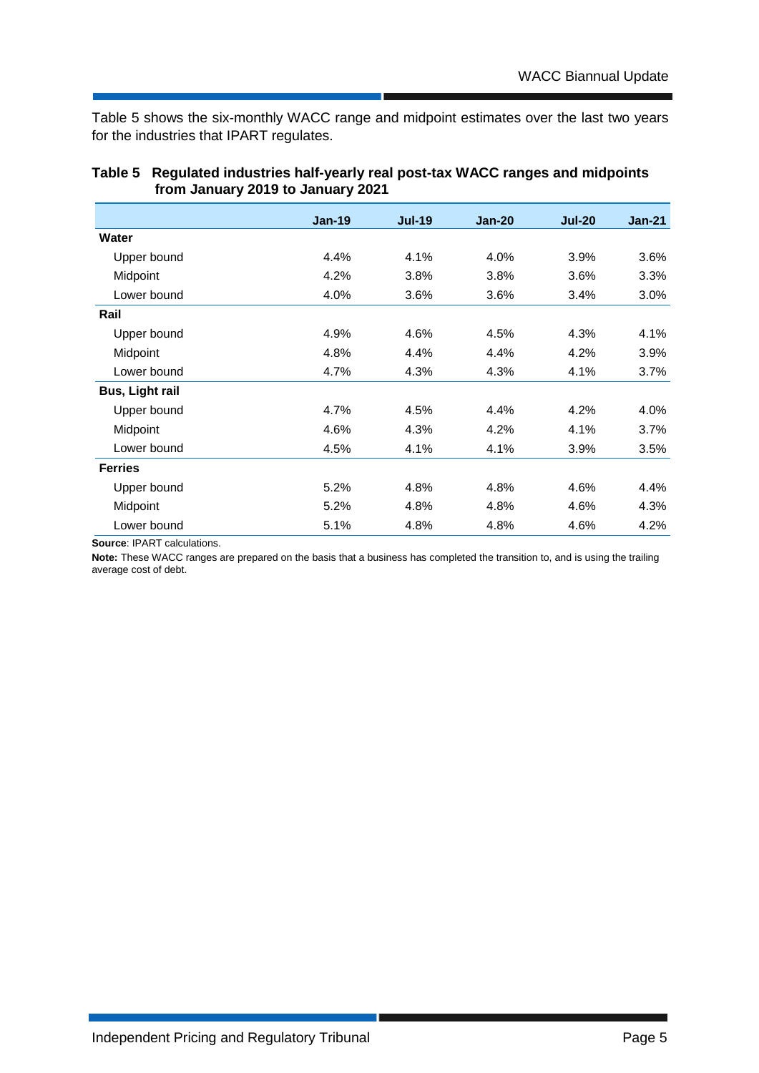Table 5 shows the six-monthly WACC range and midpoint estimates over the last two years for the industries that IPART regulates.

|                        | $Jan-19$ | <b>Jul-19</b> | <b>Jan-20</b> | <b>Jul-20</b> | $Jan-21$ |
|------------------------|----------|---------------|---------------|---------------|----------|
| Water                  |          |               |               |               |          |
| Upper bound            | 4.4%     | 4.1%          | 4.0%          | 3.9%          | 3.6%     |
| Midpoint               | 4.2%     | 3.8%          | 3.8%          | 3.6%          | 3.3%     |
| Lower bound            | 4.0%     | 3.6%          | 3.6%          | 3.4%          | 3.0%     |
| Rail                   |          |               |               |               |          |
| Upper bound            | 4.9%     | 4.6%          | 4.5%          | 4.3%          | 4.1%     |
| Midpoint               | 4.8%     | 4.4%          | 4.4%          | 4.2%          | 3.9%     |
| Lower bound            | 4.7%     | 4.3%          | 4.3%          | 4.1%          | 3.7%     |
| <b>Bus, Light rail</b> |          |               |               |               |          |
| Upper bound            | 4.7%     | 4.5%          | 4.4%          | 4.2%          | 4.0%     |
| Midpoint               | 4.6%     | 4.3%          | 4.2%          | 4.1%          | 3.7%     |
| Lower bound            | 4.5%     | 4.1%          | 4.1%          | 3.9%          | 3.5%     |
| <b>Ferries</b>         |          |               |               |               |          |
| Upper bound            | 5.2%     | 4.8%          | 4.8%          | 4.6%          | 4.4%     |
| Midpoint               | 5.2%     | 4.8%          | 4.8%          | 4.6%          | 4.3%     |
| Lower bound            | 5.1%     | 4.8%          | 4.8%          | 4.6%          | 4.2%     |

### **Table 5 Regulated industries half-yearly real post-tax WACC ranges and midpoints from January 2019 to January 2021**

**Source**: IPART calculations.

**Note:** These WACC ranges are prepared on the basis that a business has completed the transition to, and is using the trailing average cost of debt.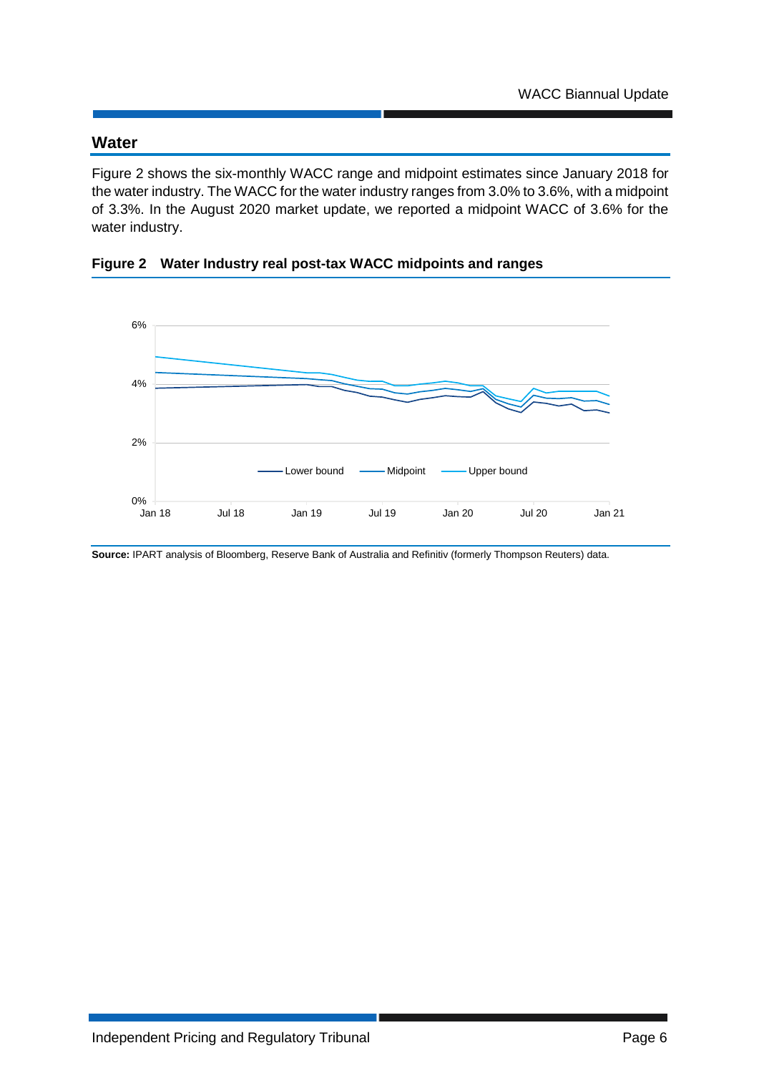### **Water**

Figure 2 shows the six-monthly WACC range and midpoint estimates since January 2018 for the water industry. The WACC for the water industry ranges from 3.0% to 3.6%, with a midpoint of 3.3%. In the August 2020 market update, we reported a midpoint WACC of 3.6% for the water industry.

**Figure 2 Water Industry real post-tax WACC midpoints and ranges**



**Source:** IPART analysis of Bloomberg, Reserve Bank of Australia and Refinitiv (formerly Thompson Reuters) data.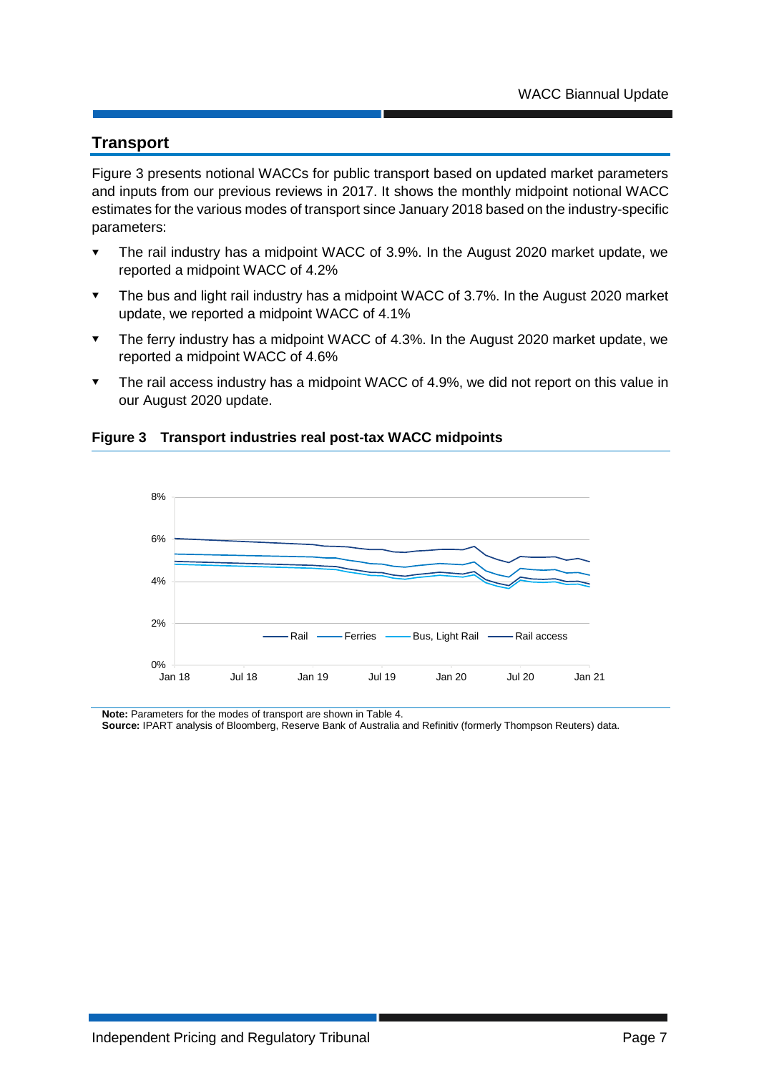### **Transport**

Figure 3 presents notional WACCs for public transport based on updated market parameters and inputs from our previous reviews in 2017. It shows the monthly midpoint notional WACC estimates for the various modes of transport since January 2018 based on the industry-specific parameters:

- The rail industry has a midpoint WACC of 3.9%. In the August 2020 market update, we reported a midpoint WACC of 4.2%
- The bus and light rail industry has a midpoint WACC of 3.7%. In the August 2020 market update, we reported a midpoint WACC of 4.1%
- The ferry industry has a midpoint WACC of 4.3%. In the August 2020 market update, we reported a midpoint WACC of 4.6%
- The rail access industry has a midpoint WACC of 4.9%, we did not report on this value in our August 2020 update.





**Note:** Parameters for the modes of transport are shown in Table 4.

**Source:** IPART analysis of Bloomberg, Reserve Bank of Australia and Refinitiv (formerly Thompson Reuters) data.